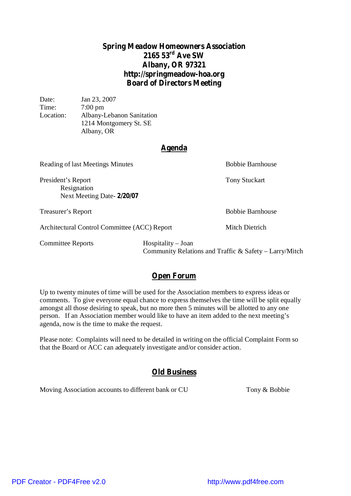# **Spring Meadow Homeowners Association 2165 53 rd Ave SW Albany, OR 97321 <http://springmeadow-hoa.org> Board of Directors Meeting**

| Date:     | Jan 23, 2007              |
|-----------|---------------------------|
| Time:     | $7:00 \text{ pm}$         |
| Location: | Albany-Lebanon Sanitation |
|           | 1214 Montgomery St. SE    |
|           | Albany, OR                |

#### **Agenda**

Reading of last Meetings Minutes Bobbie Barnhouse President's Report Tony Stuckart Resignation Next Meeting Date- **2/20/07** Treasurer's Report Bobbie Barnhouse Architectural Control Committee (ACC) Report Mitch Dietrich Committee Reports Hospitality – Joan Community Relations and Traffic & Safety – Larry/Mitch

### **Open Forum**

Up to twenty minutes of time will be used for the Association members to express ideas or comments. To give everyone equal chance to express themselves the time will be split equally amongst all those desiring to speak, but no more then 5 minutes will be allotted to any one person. If an Association member would like to have an item added to the next meeting's agenda, now is the time to make the request.

Please note: Complaints will need to be detailed in writing on the official Complaint Form so that the Board or ACC can adequately investigate and/or consider action.

### **Old Business**

Moving Association accounts to different bank or CU Tony & Bobbie